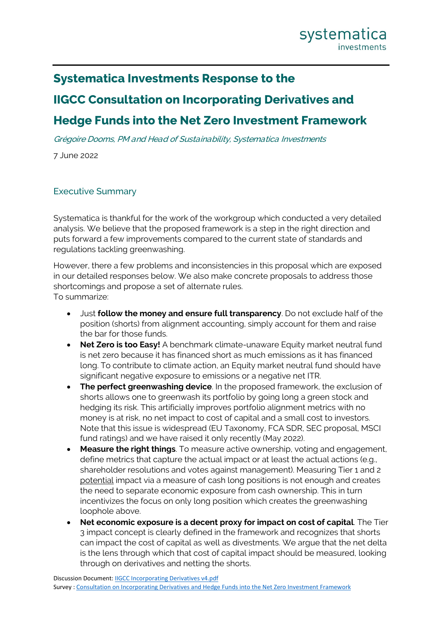# **Systematica Investments Response to the**

# **IIGCC Consultation on Incorporating Derivatives and**

# **Hedge Funds into the Net Zero Investment Framework**

Grégoire Dooms, PM and Head of Sustainability, Systematica Investments

7 June 2022

# Executive Summary

Systematica is thankful for the work of the workgroup which conducted a very detailed analysis. We believe that the proposed framework is a step in the right direction and puts forward a few improvements compared to the current state of standards and regulations tackling greenwashing.

However, there a few problems and inconsistencies in this proposal which are exposed in our detailed responses below. We also make concrete proposals to address those shortcomings and propose a set of alternate rules. To summarize:

- Just **follow the money and ensure full transparency**. Do not exclude half of the position (shorts) from alignment accounting, simply account for them and raise the bar for those funds.
- **Net Zero is too Easy!** A benchmark climate-unaware Equity market neutral fund is net zero because it has financed short as much emissions as it has financed long. To contribute to climate action, an Equity market neutral fund should have significant negative exposure to emissions or a negative net ITR.
- **The perfect greenwashing device**. In the proposed framework, the exclusion of shorts allows one to greenwash its portfolio by going long a green stock and hedging its risk. This artificially improves portfolio alignment metrics with no money is at risk, no net impact to cost of capital and a small cost to investors. Note that this issue is widespread (EU Taxonomy, FCA SDR, SEC proposal, MSCI fund ratings) and we have raised it only recently (May 2022).
- **Measure the right things**. To measure active ownership, voting and engagement, define metrics that capture the actual impact or at least the actual actions (e.g., shareholder resolutions and votes against management). Measuring Tier 1 and 2 potential impact via a measure of cash long positions is not enough and creates the need to separate economic exposure from cash ownership. This in turn incentivizes the focus on only long position which creates the greenwashing loophole above.
- **Net economic exposure is a decent proxy for impact on cost of capital**. The Tier 3 impact concept is clearly defined in the framework and recognizes that shorts can impact the cost of capital as well as divestments. We argue that the net delta is the lens through which that cost of capital impact should be measured, looking through on derivatives and netting the shorts.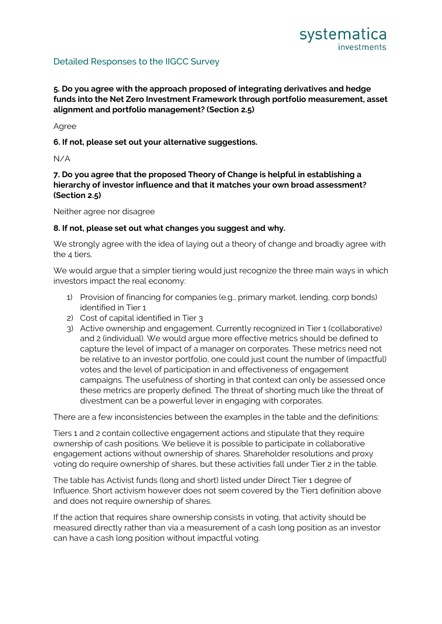# Detailed Responses to the IIGCC Survey

**5. Do you agree with the approach proposed of integrating derivatives and hedge funds into the Net Zero Investment Framework through portfolio measurement, asset alignment and portfolio management? (Section 2.5)**

Agree

**6. If not, please set out your alternative suggestions.**

N/A

## **7. Do you agree that the proposed Theory of Change is helpful in establishing a hierarchy of investor influence and that it matches your own broad assessment? (Section 2.5)**

Neither agree nor disagree

#### **8. If not, please set out what changes you suggest and why.**

We strongly agree with the idea of laying out a theory of change and broadly agree with the 4 tiers.

We would argue that a simpler tiering would just recognize the three main ways in which investors impact the real economy:

- 1) Provision of financing for companies (e.g., primary market, lending, corp bonds) identified in Tier 1
- 2) Cost of capital identified in Tier 3
- 3) Active ownership and engagement. Currently recognized in Tier 1 (collaborative) and 2 (individual). We would argue more effective metrics should be defined to capture the level of impact of a manager on corporates. These metrics need not be relative to an investor portfolio, one could just count the number of (impactful) votes and the level of participation in and effectiveness of engagement campaigns. The usefulness of shorting in that context can only be assessed once these metrics are properly defined. The threat of shorting much like the threat of divestment can be a powerful lever in engaging with corporates.

There are a few inconsistencies between the examples in the table and the definitions:

Tiers 1 and 2 contain collective engagement actions and stipulate that they require ownership of cash positions. We believe it is possible to participate in collaborative engagement actions without ownership of shares. Shareholder resolutions and proxy voting do require ownership of shares, but these activities fall under Tier 2 in the table.

The table has Activist funds (long and short) listed under Direct Tier 1 degree of Influence. Short activism however does not seem covered by the Tier1 definition above and does not require ownership of shares.

If the action that requires share ownership consists in voting, that activity should be measured directly rather than via a measurement of a cash long position as an investor can have a cash long position without impactful voting.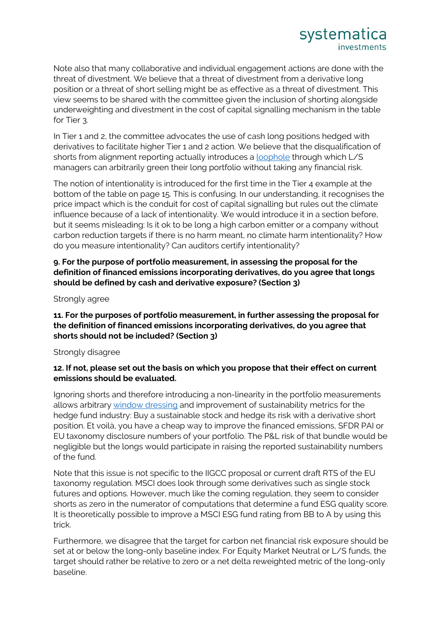Note also that many collaborative and individual engagement actions are done with the threat of divestment. We believe that a threat of divestment from a derivative long position or a threat of short selling might be as effective as a threat of divestment. This view seems to be shared with the committee given the inclusion of shorting alongside underweighting and divestment in the cost of capital signalling mechanism in the table for Tier 3.

In Tier 1 and 2, the committee advocates the use of cash long positions hedged with derivatives to facilitate higher Tier 1 and 2 action. We believe that the disqualification of shorts from alignment reporting actually introduces a **loophole** through which L/S managers can arbitrarily green their long portfolio without taking any financial risk.

The notion of intentionality is introduced for the first time in the Tier 4 example at the bottom of the table on page 15. This is confusing. In our understanding, it recognises the price impact which is the conduit for cost of capital signalling but rules out the climate influence because of a lack of intentionality. We would introduce it in a section before, but it seems misleading: Is it ok to be long a high carbon emitter or a company without carbon reduction targets if there is no harm meant, no climate harm intentionality? How do you measure intentionality? Can auditors certify intentionality?

**9. For the purpose of portfolio measurement, in assessing the proposal for the definition of financed emissions incorporating derivatives, do you agree that longs should be defined by cash and derivative exposure? (Section 3)**

#### Strongly agree

**11. For the purposes of portfolio measurement, in further assessing the proposal for the definition of financed emissions incorporating derivatives, do you agree that shorts should not be included? (Section 3)**

#### Strongly disagree

#### **12. If not, please set out the basis on which you propose that their effect on current emissions should be evaluated.**

Ignoring shorts and therefore introducing a non-linearity in the portfolio measurements allows arbitrary [window dressing](https://www.systematica.com/loopholeintheeutaxonomyregulation/#article) and improvement of sustainability metrics for the hedge fund industry: Buy a sustainable stock and hedge its risk with a derivative short position. Et voilà, you have a cheap way to improve the financed emissions, SFDR PAI or EU taxonomy disclosure numbers of your portfolio. The P&L risk of that bundle would be negligible but the longs would participate in raising the reported sustainability numbers of the fund.

Note that this issue is not specific to the IIGCC proposal or current draft RTS of the EU taxonomy regulation. MSCI does look through some derivatives such as single stock futures and options. However, much like the coming regulation, they seem to consider shorts as zero in the numerator of [computations](https://www.msci.com/documents/10199/255936/MSCI_ESG_Fund_Metrics_Exec_Summary_Methodology_May2017.pdf) that determine a fund ESG quality score. It is theoretically possible to improve a MSCI ESG fund rating from BB to A by using this trick.

Furthermore, we disagree that the target for carbon net financial risk exposure should be set at or below the long-only baseline index. For Equity Market Neutral or L/S funds, the target should rather be relative to zero or a net delta reweighted metric of the long-only baseline.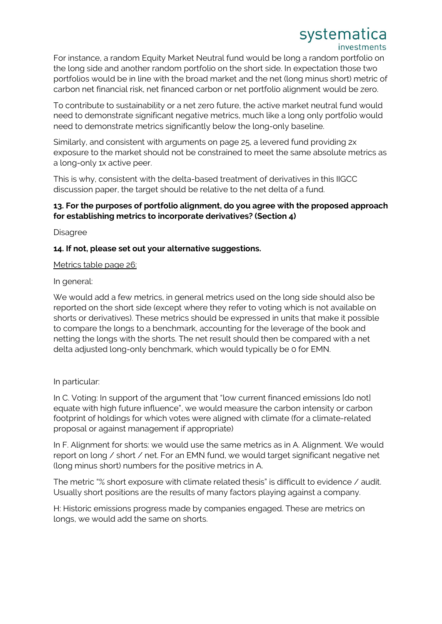**Systematica**<br>investments<br>For instance, a random Equity Market Neutral fund would be long a random portfolio on the long side and another random portfolio on the short side. In expectation those two portfolios would be in line with the broad market and the net (long minus short) metric of carbon net financial risk, net financed carbon or net portfolio alignment would be zero.

To contribute to sustainability or a net zero future, the active market neutral fund would need to demonstrate significant negative metrics, much like a long only portfolio would need to demonstrate metrics significantly below the long-only baseline.

Similarly, and consistent with arguments on page 25, a levered fund providing 2x exposure to the market should not be constrained to meet the same absolute metrics as a long-only 1x active peer.

This is why, consistent with the delta-based treatment of derivatives in this IIGCC discussion paper, the target should be relative to the net delta of a fund.

# **13. For the purposes of portfolio alignment, do you agree with the proposed approach for establishing metrics to incorporate derivatives? (Section 4)**

**Disagree** 

# **14. If not, please set out your alternative suggestions.**

#### Metrics table page 26:

#### In general:

We would add a few metrics, in general metrics used on the long side should also be reported on the short side (except where they refer to voting which is not available on shorts or derivatives). These metrics should be expressed in units that make it possible to compare the longs to a benchmark, accounting for the leverage of the book and netting the longs with the shorts. The net result should then be compared with a net delta adjusted long-only benchmark, which would typically be 0 for EMN.

#### In particular:

In C. Voting: In support of the argument that "low current financed emissions [do not] equate with high future influence", we would measure the carbon intensity or carbon footprint of holdings for which votes were aligned with climate (for a climate-related proposal or against management if appropriate)

In F. Alignment for shorts: we would use the same metrics as in A. Alignment. We would report on long / short / net. For an EMN fund, we would target significant negative net (long minus short) numbers for the positive metrics in A.

The metric "% short exposure with climate related thesis" is difficult to evidence / audit. Usually short positions are the results of many factors playing against a company.

H: Historic emissions progress made by companies engaged. These are metrics on longs, we would add the same on shorts.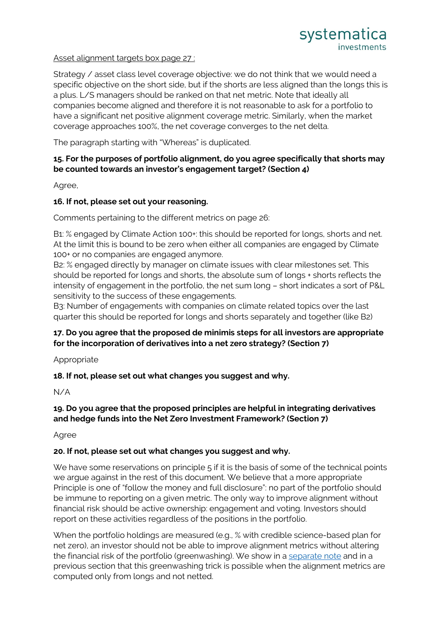#### Asset alignment targets box page 27 :

Strategy / asset class level coverage objective: we do not think that we would need a specific objective on the short side, but if the shorts are less aligned than the longs this is a plus. L/S managers should be ranked on that net metric. Note that ideally all companies become aligned and therefore it is not reasonable to ask for a portfolio to have a significant net positive alignment coverage metric. Similarly, when the market coverage approaches 100%, the net coverage converges to the net delta.

The paragraph starting with "Whereas" is duplicated.

#### **15. For the purposes of portfolio alignment, do you agree specifically that shorts may be counted towards an investor's engagement target? (Section 4)**

Agree,

## **16. If not, please set out your reasoning.**

Comments pertaining to the different metrics on page 26:

B1: % engaged by Climate Action 100+: this should be reported for longs, shorts and net. At the limit this is bound to be zero when either all companies are engaged by Climate 100+ or no companies are engaged anymore.

B2: % engaged directly by manager on climate issues with clear milestones set. This should be reported for longs and shorts, the absolute sum of longs + shorts reflects the intensity of engagement in the portfolio, the net sum long – short indicates a sort of P&L sensitivity to the success of these engagements.

B3: Number of engagements with companies on climate related topics over the last quarter this should be reported for longs and shorts separately and together (like B2)

## **17. Do you agree that the proposed de minimis steps for all investors are appropriate for the incorporation of derivatives into a net zero strategy? (Section 7)**

Appropriate

## **18. If not, please set out what changes you suggest and why.**

N/A

# **19. Do you agree that the proposed principles are helpful in integrating derivatives and hedge funds into the Net Zero Investment Framework? (Section 7)**

Agree

## **20. If not, please set out what changes you suggest and why.**

We have some reservations on principle 5 if it is the basis of some of the technical points we argue against in the rest of this document. We believe that a more appropriate Principle is one of "follow the money and full disclosure": no part of the portfolio should be immune to reporting on a given metric. The only way to improve alignment without financial risk should be active ownership: engagement and voting. Investors should report on these activities regardless of the positions in the portfolio.

When the portfolio holdings are measured (e.g., % with credible science-based plan for net zero), an investor should not be able to improve alignment metrics without altering the financial risk of the portfolio (greenwashing). We show in a [separate note](https://www.systematica.com/loopholeintheeutaxonomyregulation/#article) and in a previous section that this greenwashing trick is possible when the alignment metrics are computed only from longs and not netted.